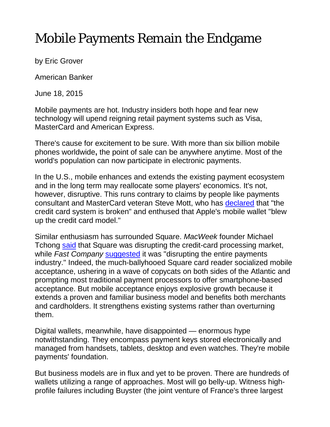## Mobile Payments Remain the Endgame

by Eric Grover

American Banker

June 18, 2015

Mobile payments are hot. Industry insiders both hope and fear new technology will upend reigning retail payment systems such as Visa, MasterCard and American Express.

There's cause for excitement to be sure. With more than six billion mobile phones worldwide**,** the point of sale can be anywhere anytime. Most of the world's population can now participate in electronic payments.

In the U.S., mobile enhances and extends the existing payment ecosystem and in the long term may reallocate some players' economics. It's not, however, disruptive. This runs contrary to claims by people like payments consultant and MasterCard veteran Steve Mott, who has [declared](https://www.bai.org/bankingstrategies/Payments/Remote-Payments/First-Take-on-Apple-Pay?utm_source=BSO_Daily_091914&utm_medium=email&utm_campaign=BSO_Daily_Enewsletter&utm_content=thoughtleadership&ca=INSERT_CUSTOM01&mkt_tok=3RkMMJWWfF9wsRoiuarAZKXonjHpfsX57e0uX6Sg38431UFwdcjKPmjr1YAFT8Z0aPyQAgobGp5I5FEMS7XYTqtit6AKXQ%3D%3D) that "the credit card system is broken" and enthused that Apple's mobile wallet "blew up the credit card model."

Similar enthusiasm has surrounded Square. *MacWeek* founder Michael Tchong [said](http://www.michaeltchong.com/square-an-innovation-case-study/) that Square was disrupting the credit-card processing market, while *Fast Company* [suggested](http://www.fastcompany.com/1754859/how-jack-dorseys-square-accidentally-disrupting-entire-payments-industry) it was "disrupting the entire payments industry." Indeed, the much-ballyhooed Square card reader socialized mobile acceptance, ushering in a wave of copycats on both sides of the Atlantic and prompting most traditional payment processors to offer smartphone-based acceptance. But mobile acceptance enjoys explosive growth because it extends a proven and familiar business model and benefits both merchants and cardholders. It strengthens existing systems rather than overturning them.

Digital wallets, meanwhile, have disappointed — enormous hype notwithstanding. They encompass payment keys stored electronically and managed from handsets, tablets, desktop and even watches. They're mobile payments' foundation.

But business models are in flux and yet to be proven. There are hundreds of wallets utilizing a range of approaches. Most will go belly-up. Witness highprofile failures including Buyster (the joint venture of France's three largest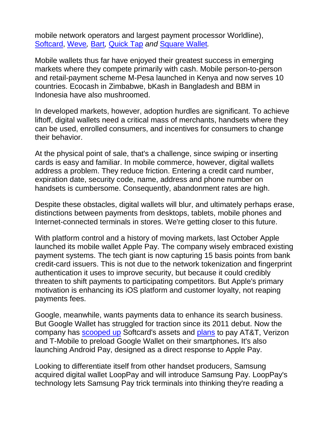mobile network operators and largest payment processor Worldline), [Softcard,](http://www.forbes.com/sites/roberthof/2015/03/05/with-softcard-demise-another-mobile-wallet-officially-bites-the-dust/) [Weve](http://www.telegraph.co.uk/finance/newsbysector/mediatechnologyandtelecoms/telecoms/11095442/Mobile-operators-abandon-joint-wave-and-pay-project-as-Apple-looms.html)*,* [Bart](http://www.finextra.com/news/fullstory.aspx?newsitemid=25635)*,* [Quick Tap](http://www.nfcworld.com/2014/09/01/331119/barclays-calls-time-quick-tap-nfc-payments/) *and* [Square Wallet](http://www.businessinsider.com/square-wallet-gone-2014-5)*.* 

Mobile wallets thus far have enjoyed their greatest success in emerging markets where they compete primarily with cash. Mobile person-to-person and retail-payment scheme M-Pesa launched in Kenya and now serves 10 countries. Ecocash in Zimbabwe, bKash in Bangladesh and BBM in Indonesia have also mushroomed.

In developed markets, however, adoption hurdles are significant. To achieve liftoff, digital wallets need a critical mass of merchants, handsets where they can be used, enrolled consumers, and incentives for consumers to change their behavior.

At the physical point of sale, that's a challenge, since swiping or inserting cards is easy and familiar. In mobile commerce, however, digital wallets address a problem. They reduce friction. Entering a credit card number, expiration date, security code, name, address and phone number on handsets is cumbersome. Consequently, abandonment rates are high.

Despite these obstacles, digital wallets will blur, and ultimately perhaps erase, distinctions between payments from desktops, tablets, mobile phones and Internet-connected terminals in stores. We're getting closer to this future.

With platform control and a history of moving markets, last October Apple launched its mobile wallet Apple Pay. The company wisely embraced existing payment systems. The tech giant is now capturing 15 basis points from bank credit-card issuers. This is not due to the network tokenization and fingerprint authentication it uses to improve security, but because it could credibly threaten to shift payments to participating competitors. But Apple's primary motivation is enhancing its iOS platform and customer loyalty, not reaping payments fees.

Google, meanwhile, wants payments data to enhance its search business. But Google Wallet has struggled for traction since its 2011 debut. Now the company has [scooped up](http://www.bloomberg.com/news/articles/2015-02-23/google-buys-softcard-s-technology-gets-deal-with-u-s-carriers) Softcard's assets and [plans](http://blogs.wsj.com/digits/2015/02/23/google-strikes-deal-with-carriers-for-payments/) to pay AT&T, Verizon and T-Mobile to preload Google Wallet on their smartphones**.** It's also launching Android Pay, designed as a direct response to Apple Pay.

Looking to differentiate itself from other handset producers, Samsung acquired digital wallet LoopPay and will introduce Samsung Pay. LoopPay's technology lets Samsung Pay trick terminals into thinking they're reading a